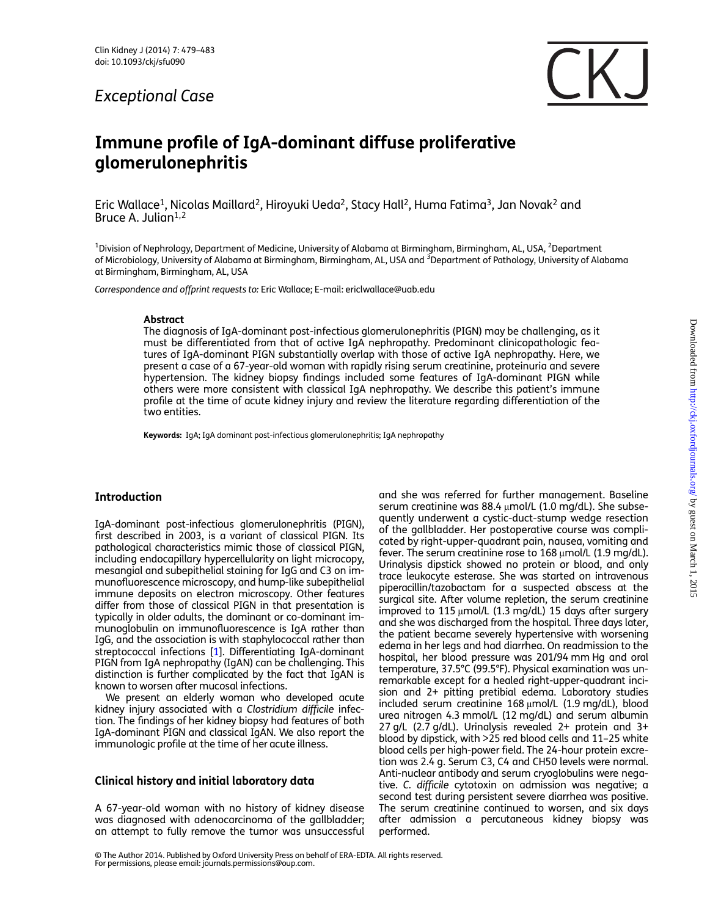## Exceptional Case



# Immune profile of IgA-dominant diffuse proliferative glomerulonephritis

Eric Wallace<sup>1</sup>, Nicolas Maillard<sup>2</sup>, Hiroyuki Ueda<sup>2</sup>, Stacy Hall<sup>2</sup>, Huma Fatima<sup>3</sup>, Jan Novak<sup>2</sup> and Bruce A. Julian $1,2$ 

<sup>1</sup>Division of Nephrology, Department of Medicine, University of Alabama at Birmingham, Birmingham, AL, USA, <sup>2</sup>Department of Microbiology, University of Alabama at Birmingham, Birmingham, AL, USA and <sup>3</sup>Department of Pathology, University of Alabama at Birmingham, Birmingham, AL, USA

Correspondence and offprint requests to: Eric Wallace; E-mail: ericlwallace@uab.edu

#### Abstract

The diagnosis of IgA-dominant post-infectious glomerulonephritis (PIGN) may be challenging, as it must be differentiated from that of active IgA nephropathy. Predominant clinicopathologic features of IgA-dominant PIGN substantially overlap with those of active IgA nephropathy. Here, we present a case of a 67-year-old woman with rapidly rising serum creatinine, proteinuria and severe hypertension. The kidney biopsy findings included some features of IgA-dominant PIGN while others were more consistent with classical IgA nephropathy. We describe this patient's immune profile at the time of acute kidney injury and review the literature regarding differentiation of the two entities.

Keywords: IgA; IgA dominant post-infectious glomerulonephritis; IgA nephropathy

## **Introduction**

IgA-dominant post-infectious glomerulonephritis (PIGN), first described in 2003, is a variant of classical PIGN. Its pathological characteristics mimic those of classical PIGN, including endocapillary hypercellularity on light microcopy, mesangial and subepithelial staining for IgG and C3 on immunofluorescence microscopy, and hump-like subepithelial immune deposits on electron microscopy. Other features differ from those of classical PIGN in that presentation is typically in older adults, the dominant or co-dominant immunoglobulin on immunofluorescence is IgA rather than IgG, and the association is with staphylococcal rather than streptococcal infections [\[1](#page-3-0)]. Differentiating IgA-dominant PIGN from IgA nephropathy (IgAN) can be challenging. This distinction is further complicated by the fact that IgAN is known to worsen after mucosal infections.

We present an elderly woman who developed acute kidney injury associated with a Clostridium difficile infection. The findings of her kidney biopsy had features of both IgA-dominant PIGN and classical IgAN. We also report the immunologic profile at the time of her acute illness.

## Clinical history and initial laboratory data

A 67-year-old woman with no history of kidney disease was diagnosed with adenocarcinoma of the gallbladder; an attempt to fully remove the tumor was unsuccessful and she was referred for further management. Baseline serum creatinine was 88.4 μmol/L (1.0 mg/dL). She subsequently underwent a cystic-duct-stump wedge resection of the gallbladder. Her postoperative course was complicated by right-upper-quadrant pain, nausea, vomiting and fever. The serum creatinine rose to  $168 \mu$ mol/L (1.9 mg/dL). Urinalysis dipstick showed no protein or blood, and only trace leukocyte esterase. She was started on intravenous piperacillin/tazobactam for a suspected abscess at the surgical site. After volume repletion, the serum creatinine improved to 115 μmol/L (1.3 mg/dL) 15 days after surgery and she was discharged from the hospital. Three days later, the patient became severely hypertensive with worsening edema in her legs and had diarrhea. On readmission to the hospital, her blood pressure was 201/94 mm Hg and oral temperature, 37.5°C (99.5°F). Physical examination was unremarkable except for a healed right-upper-quadrant incision and 2+ pitting pretibial edema. Laboratory studies included serum creatinine 168 μmol/L (1.9 mg/dL), blood urea nitrogen 4.3 mmol/L (12 mg/dL) and serum albumin 27 g/L (2.7 g/dL). Urinalysis revealed 2+ protein and 3+ blood by dipstick, with >25 red blood cells and 11–25 white blood cells per high-power field. The 24-hour protein excretion was 2.4 g. Serum C3, C4 and CH50 levels were normal. Anti-nuclear antibody and serum cryoglobulins were negative. C. difficile cytotoxin on admission was negative; a second test during persistent severe diarrhea was positive. The serum creatinine continued to worsen, and six days after admission a percutaneous kidney biopsy was performed.

© The Author 2014. Published by Oxford University Press on behalf of ERA-EDTA. All rights reserved. For permissions, please email: journals.permissions@oup.com.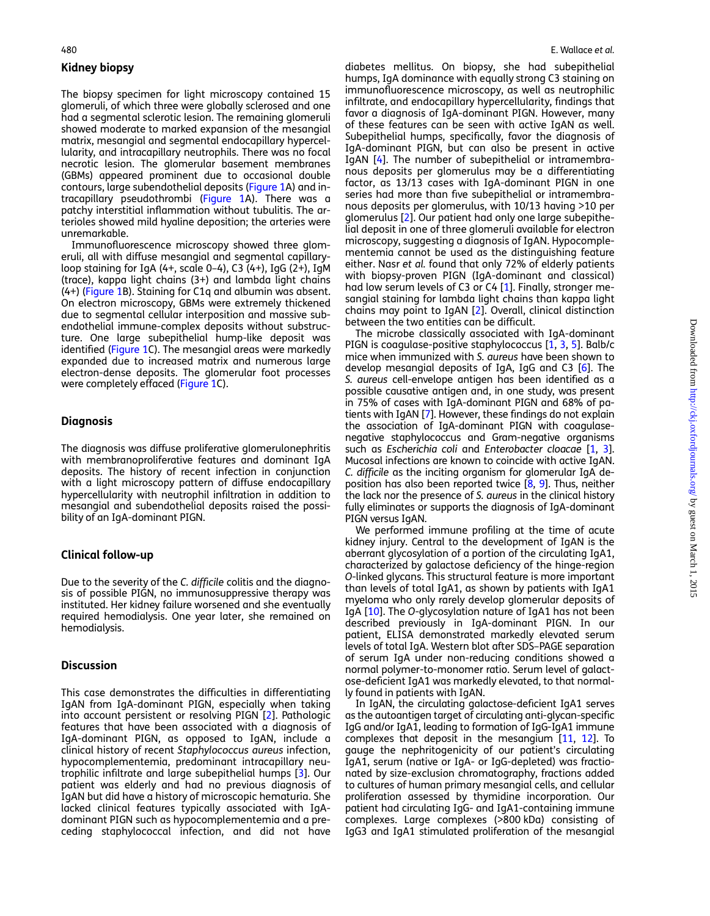## Kidney biopsy

The biopsy specimen for light microscopy contained 15 glomeruli, of which three were globally sclerosed and one had a segmental sclerotic lesion. The remaining glomeruli showed moderate to marked expansion of the mesangial matrix, mesangial and segmental endocapillary hypercellularity, and intracapillary neutrophils. There was no focal necrotic lesion. The glomerular basement membranes (GBMs) appeared prominent due to occasional double contours, large subendothelial deposits ([Figure 1](#page-2-0)A) and intracapillary pseudothrombi [\(Figure 1](#page-2-0)A). There was a patchy interstitial inflammation without tubulitis. The arterioles showed mild hyaline deposition; the arteries were unremarkable.

Immunofluorescence microscopy showed three glomeruli, all with diffuse mesangial and segmental capillaryloop staining for IgA (4+, scale 0–4), C3 (4+), IgG (2+), IgM (trace), kappa light chains (3+) and lambda light chains (4+) ([Figure 1B](#page-2-0)). Staining for C1q and albumin was absent. On electron microscopy, GBMs were extremely thickened due to segmental cellular interposition and massive subendothelial immune-complex deposits without substructure. One large subepithelial hump-like deposit was identified ([Figure 1C](#page-2-0)). The mesangial areas were markedly expanded due to increased matrix and numerous large electron-dense deposits. The glomerular foot processes were completely effaced [\(Figure 1](#page-2-0)C).

## **Diagnosis**

The diagnosis was diffuse proliferative glomerulonephritis with membranoproliferative features and dominant IgA deposits. The history of recent infection in conjunction with a light microscopy pattern of diffuse endocapillary hypercellularity with neutrophil infiltration in addition to mesangial and subendothelial deposits raised the possibility of an IgA-dominant PIGN.

## Clinical follow-up

Due to the severity of the C. difficile colitis and the diagnosis of possible PIGN, no immunosuppressive therapy was instituted. Her kidney failure worsened and she eventually required hemodialysis. One year later, she remained on hemodialysis.

#### **Discussion**

This case demonstrates the difficulties in differentiating IgAN from IgA-dominant PIGN, especially when taking into account persistent or resolving PIGN [[2\]](#page-3-0). Pathologic features that have been associated with a diagnosis of IgA-dominant PIGN, as opposed to IgAN, include a clinical history of recent Staphylococcus aureus infection, hypocomplementemia, predominant intracapillary neutrophilic infiltrate and large subepithelial humps [\[3](#page-3-0)]. Our patient was elderly and had no previous diagnosis of IgAN but did have a history of microscopic hematuria. She lacked clinical features typically associated with IgAdominant PIGN such as hypocomplementemia and a preceding staphylococcal infection, and did not have

diabetes mellitus. On biopsy, she had subepithelial humps, IgA dominance with equally strong C3 staining on immunofluorescence microscopy, as well as neutrophilic infiltrate, and endocapillary hypercellularity, findings that favor a diagnosis of IgA-dominant PIGN. However, many of these features can be seen with active IgAN as well. Subepithelial humps, specifically, favor the diagnosis of IgA-dominant PIGN, but can also be present in active IgAN [\[4](#page-3-0)]. The number of subepithelial or intramembranous deposits per glomerulus may be a differentiating factor, as 13/13 cases with IgA-dominant PIGN in one series had more than five subepithelial or intramembranous deposits per glomerulus, with 10/13 having >10 per glomerulus [[2\]](#page-3-0). Our patient had only one large subepithelial deposit in one of three glomeruli available for electron microscopy, suggesting a diagnosis of IgAN. Hypocomplementemia cannot be used as the distinguishing feature either. Nasr et al. found that only 72% of elderly patients with biopsy-proven PIGN (IgA-dominant and classical) had low serum levels of C3 or C4 [[1\]](#page-3-0). Finally, stronger mesangial staining for lambda light chains than kappa light chains may point to IgAN [\[2](#page-3-0)]. Overall, clinical distinction between the two entities can be difficult.

The microbe classically associated with IgA-dominant PIGN is coagulase-positive staphylococcus [\[1](#page-3-0), [3](#page-3-0), [5\]](#page-3-0). Balb/c mice when immunized with S. aureus have been shown to develop mesangial deposits of IgA, IgG and C3 [[6\]](#page-3-0). The S. aureus cell-envelope antigen has been identified as a possible causative antigen and, in one study, was present in 75% of cases with IgA-dominant PIGN and 68% of patients with IgAN [\[7](#page-3-0)]. However, these findings do not explain the association of IgA-dominant PIGN with coagulasenegative staphylococcus and Gram-negative organisms such as Escherichia coli and Enterobacter cloacae [[1,](#page-3-0) [3](#page-3-0)]. Mucosal infections are known to coincide with active IgAN. C. difficile as the inciting organism for glomerular IgA deposition has also been reported twice [\[8](#page-4-0), [9](#page-4-0)]. Thus, neither the lack nor the presence of S. aureus in the clinical history fully eliminates or supports the diagnosis of IgA-dominant PIGN versus IgAN.

We performed immune profiling at the time of acute kidney injury. Central to the development of IgAN is the aberrant glycosylation of a portion of the circulating IgA1, characterized by galactose deficiency of the hinge-region O-linked glycans. This structural feature is more important than levels of total IgA1, as shown by patients with IgA1 myeloma who only rarely develop glomerular deposits of IgA [\[10](#page-4-0)]. The O-glycosylation nature of IgA1 has not been described previously in IgA-dominant PIGN. In our patient, ELISA demonstrated markedly elevated serum levels of total IgA. Western blot after SDS–PAGE separation of serum IgA under non-reducing conditions showed a normal polymer-to-monomer ratio. Serum level of galactose-deficient IgA1 was markedly elevated, to that normally found in patients with IgAN.

In IgAN, the circulating galactose-deficient IgA1 serves as the autoantigen target of circulating anti-glycan-specific IgG and/or IgA1, leading to formation of IgG-IgA1 immune complexes that deposit in the mesangium [[11,](#page-4-0) [12\]](#page-4-0). To gauge the nephritogenicity of our patient's circulating IgA1, serum (native or IgA- or IgG-depleted) was fractionated by size-exclusion chromatography, fractions added to cultures of human primary mesangial cells, and cellular proliferation assessed by thymidine incorporation. Our patient had circulating IgG- and IgA1-containing immune complexes. Large complexes (>800 kDa) consisting of IgG3 and IgA1 stimulated proliferation of the mesangial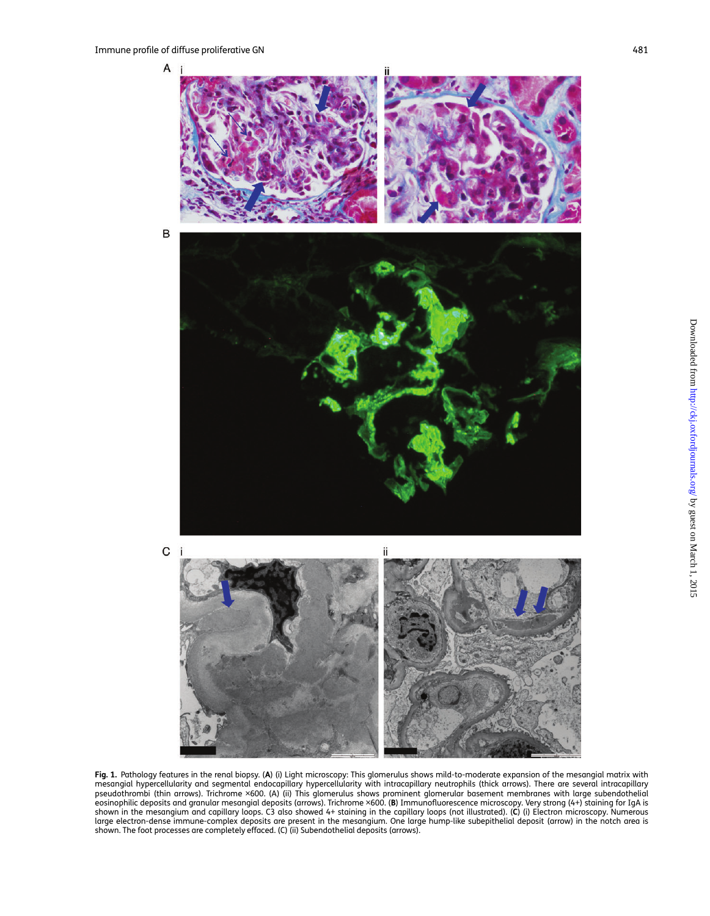<span id="page-2-0"></span>

Fig. 1. Pathology features in the renal biopsy. (A) (i) Light microscopy: This glomerulus shows mild-to-moderate expansion of the mesangial matrix with mesangial hypercellularity and segmental endocapillary hypercellularity with intracapillary neutrophils (thick arrows). There are several intracapillary<br>pseudothrombi (thin arrows). Trichrome ×600. (A) (ii) This glomerulus eosinophilic deposits and granular mesangial deposits (arrows). Trichrome ×600. (B) Immunofluorescence microscopy. Very strong (4+) staining for IgA is shown in the mesangium and capillary loops. C3 also showed 4+ staining in the capillary loops (not illustrated). (C) (i) Electron microscopy. Numerous<br>large electron-dense immune-complex deposits are present in the mesangi shown. The foot processes are completely effaced. (C) (ii) Subendothelial deposits (arrows).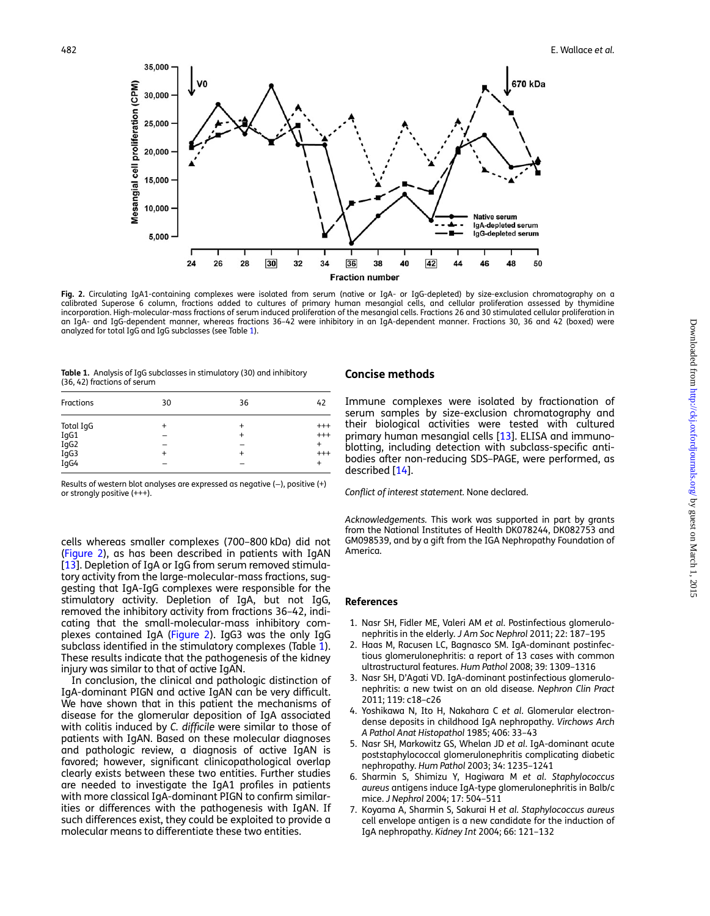<span id="page-3-0"></span>

Fig. 2. Circulating IgA1-containing complexes were isolated from serum (native or IgA- or IgG-depleted) by size-exclusion chromatography on a calibrated Superose 6 column, fractions added to cultures of primary human mesangial cells, and cellular proliferation assessed by thymidine incorporation. High-molecular-mass fractions of serum induced proliferation of the mesangial cells. Fractions 26 and 30 stimulated cellular proliferation in an IgA- and IgG-dependent manner, whereas fractions 36–42 were inhibitory in an IgA-dependent manner. Fractions 30, 36 and 42 (boxed) were analyzed for total IgG and IgG subclasses (see Table 1).

| <b>Table 1.</b> Analysis of IgG subclasses in stimulatory (30) and inhibitory |  |
|-------------------------------------------------------------------------------|--|
| (36, 42) fractions of serum                                                   |  |

| Fractions                                 | 30                     | 36 | 42                                                |
|-------------------------------------------|------------------------|----|---------------------------------------------------|
| Total IgG<br>IgG1<br>IgG2<br>IgG3<br>IgG4 | $\ddot{}$<br>$\ddot{}$ |    | $^{+++}$<br>$^{+++}$<br>$\overline{1}$<br>$^{++}$ |

Results of western blot analyses are expressed as negative (-), positive (+) or strongly positive (+++).

cells whereas smaller complexes (700–800 kDa) did not (Figure 2), as has been described in patients with IgAN [[13\]](#page-4-0). Depletion of IgA or IgG from serum removed stimulatory activity from the large-molecular-mass fractions, suggesting that IgA-IgG complexes were responsible for the stimulatory activity. Depletion of IgA, but not IgG, removed the inhibitory activity from fractions 36–42, indicating that the small-molecular-mass inhibitory complexes contained IgA (Figure 2). IgG3 was the only IgG subclass identified in the stimulatory complexes (Table 1). These results indicate that the pathogenesis of the kidney injury was similar to that of active IgAN.

In conclusion, the clinical and pathologic distinction of IgA-dominant PIGN and active IgAN can be very difficult. We have shown that in this patient the mechanisms of disease for the glomerular deposition of IgA associated with colitis induced by C. difficile were similar to those of patients with IgAN. Based on these molecular diagnoses and pathologic review, a diagnosis of active IgAN is favored; however, significant clinicopathological overlap clearly exists between these two entities. Further studies are needed to investigate the IgA1 profiles in patients with more classical IgA-dominant PIGN to confirm similarities or differences with the pathogenesis with IgAN. If such differences exist, they could be exploited to provide a molecular means to differentiate these two entities.

#### Concise methods

Immune complexes were isolated by fractionation of serum samples by size-exclusion chromatography and their biological activities were tested with cultured primary human mesangial cells [\[13](#page-4-0)]. ELISA and immunoblotting, including detection with subclass-specific antibodies after non-reducing SDS–PAGE, were performed, as described [\[14\]](#page-4-0).

#### Conflict of interest statement. None declared.

Acknowledgements. This work was supported in part by grants from the National Institutes of Health DK078244, DK082753 and GM098539, and by a gift from the IGA Nephropathy Foundation of America.

#### References

- 1. Nasr SH, Fidler ME, Valeri AM et al. Postinfectious glomerulonephritis in the elderly. J Am Soc Nephrol 2011; 22: 187–195
- 2. Haas M, Racusen LC, Bagnasco SM. IgA-dominant postinfectious glomerulonephritis: a report of 13 cases with common ultrastructural features. Hum Pathol 2008; 39: 1309–1316
- 3. Nasr SH, D'Agati VD. IgA-dominant postinfectious glomerulonephritis: a new twist on an old disease. Nephron Clin Pract 2011; 119: c18–c26
- 4. Yoshikawa N, Ito H, Nakahara C et al. Glomerular electrondense deposits in childhood IgA nephropathy. Virchows Arch A Pathol Anat Histopathol 1985; 406: 33–43
- 5. Nasr SH, Markowitz GS, Whelan JD et al. IgA-dominant acute poststaphylococcal glomerulonephritis complicating diabetic nephropathy. Hum Pathol 2003; 34: 1235–1241
- 6. Sharmin S, Shimizu Y, Hagiwara M et al. Staphylococcus aureus antigens induce IgA-type glomerulonephritis in Balb/c mice. J Nephrol 2004; 17: 504–511
- 7. Koyama A, Sharmin S, Sakurai H et al. Staphylococcus aureus cell envelope antigen is a new candidate for the induction of IgA nephropathy. Kidney Int 2004; 66: 121–132